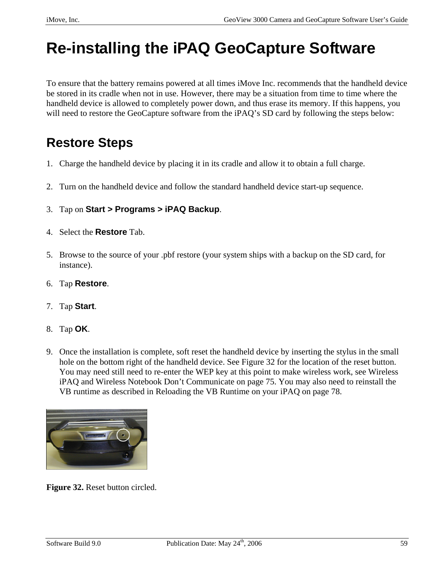# **Re-installing the iPAQ GeoCapture Software**

To ensure that the battery remains powered at all times iMove Inc. recommends that the handheld device be stored in its cradle when not in use. However, there may be a situation from time to time where the handheld device is allowed to completely power down, and thus erase its memory. If this happens, you will need to restore the GeoCapture software from the iPAQ's SD card by following the steps below:

## **Restore Steps**

- 1. Charge the handheld device by placing it in its cradle and allow it to obtain a full charge.
- 2. Turn on the handheld device and follow the standard handheld device start-up sequence.
- 3. Tap on **Start > Programs > iPAQ Backup**.
- 4. Select the **Restore** Tab.
- 5. Browse to the source of your .pbf restore (your system ships with a backup on the SD card, for instance).
- 6. Tap **Restore**.
- 7. Tap **Start**.
- 8. Tap **OK**.
- 9. Once the installation is complete, soft reset the handheld device by inserting the stylus in the small hole on the bottom right of the handheld device. See Figure 32 for the location of the reset button. You may need still need to re-enter the WEP key at this point to make wireless work, see Wireless iPAQ and Wireless Notebook Don't Communicate on page 75. You may also need to reinstall the VB runtime as described in Reloading the VB Runtime on your iPAQ on page 78.



**Figure 32.** Reset button circled.